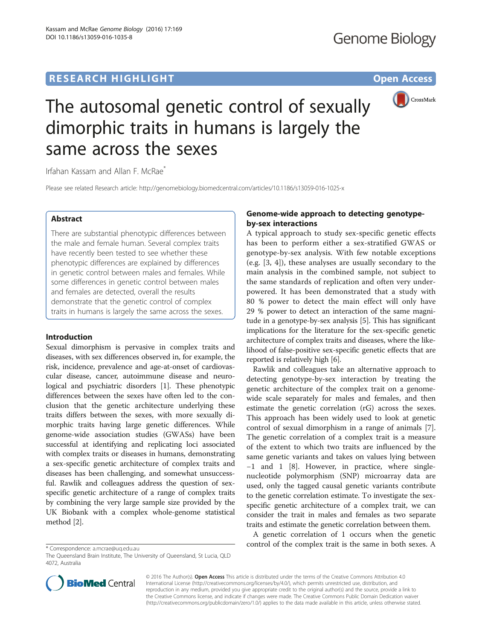# **RESEARCH HIGHLIGHT CONSUMING THE OPEN ACCESS**



# The autosomal genetic control of sexually dimorphic traits in humans is largely the same across the sexes

Irfahan Kassam and Allan F. McRae\*

Please see related Research article:<http://genomebiology.biomedcentral.com/articles/10.1186/s13059-016-1025-x>

## Abstract

There are substantial phenotypic differences between the male and female human. Several complex traits have recently been tested to see whether these phenotypic differences are explained by differences in genetic control between males and females. While some differences in genetic control between males and females are detected, overall the results demonstrate that the genetic control of complex traits in humans is largely the same across the sexes.

### Introduction

Sexual dimorphism is pervasive in complex traits and diseases, with sex differences observed in, for example, the risk, incidence, prevalence and age-at-onset of cardiovascular disease, cancer, autoimmune disease and neurological and psychiatric disorders [\[1](#page-1-0)]. These phenotypic differences between the sexes have often led to the conclusion that the genetic architecture underlying these traits differs between the sexes, with more sexually dimorphic traits having large genetic differences. While genome-wide association studies (GWASs) have been successful at identifying and replicating loci associated with complex traits or diseases in humans, demonstrating a sex-specific genetic architecture of complex traits and diseases has been challenging, and somewhat unsuccessful. Rawlik and colleagues address the question of sexspecific genetic architecture of a range of complex traits by combining the very large sample size provided by the UK Biobank with a complex whole-genome statistical method [\[2](#page-1-0)].

#### \* Correspondence: [a.mcrae@uq.edu.au](mailto:a.mcrae@uq.edu.au)

# Genome-wide approach to detecting genotypeby-sex interactions

A typical approach to study sex-specific genetic effects has been to perform either a sex-stratified GWAS or genotype-by-sex analysis. With few notable exceptions (e.g. [[3,](#page-1-0) [4](#page-2-0)]), these analyses are usually secondary to the main analysis in the combined sample, not subject to the same standards of replication and often very underpowered. It has been demonstrated that a study with 80 % power to detect the main effect will only have 29 % power to detect an interaction of the same magnitude in a genotype-by-sex analysis [[5\]](#page-2-0). This has significant implications for the literature for the sex-specific genetic architecture of complex traits and diseases, where the likelihood of false-positive sex-specific genetic effects that are reported is relatively high [\[6\]](#page-2-0).

Rawlik and colleagues take an alternative approach to detecting genotype-by-sex interaction by treating the genetic architecture of the complex trait on a genomewide scale separately for males and females, and then estimate the genetic correlation (rG) across the sexes. This approach has been widely used to look at genetic control of sexual dimorphism in a range of animals [\[7](#page-2-0)]. The genetic correlation of a complex trait is a measure of the extent to which two traits are influenced by the same genetic variants and takes on values lying between −1 and 1 [\[8](#page-2-0)]. However, in practice, where singlenucleotide polymorphism (SNP) microarray data are used, only the tagged causal genetic variants contribute to the genetic correlation estimate. To investigate the sexspecific genetic architecture of a complex trait, we can consider the trait in males and females as two separate traits and estimate the genetic correlation between them.

A genetic correlation of 1 occurs when the genetic control of the complex trait is the same in both sexes. A



© 2016 The Author(s). Open Access This article is distributed under the terms of the Creative Commons Attribution 4.0 International License [\(http://creativecommons.org/licenses/by/4.0/](http://creativecommons.org/licenses/by/4.0/)), which permits unrestricted use, distribution, and reproduction in any medium, provided you give appropriate credit to the original author(s) and the source, provide a link to the Creative Commons license, and indicate if changes were made. The Creative Commons Public Domain Dedication waiver [\(http://creativecommons.org/publicdomain/zero/1.0/](http://creativecommons.org/publicdomain/zero/1.0/)) applies to the data made available in this article, unless otherwise stated.

The Queensland Brain Institute, The University of Queensland, St Lucia, QLD 4072, Australia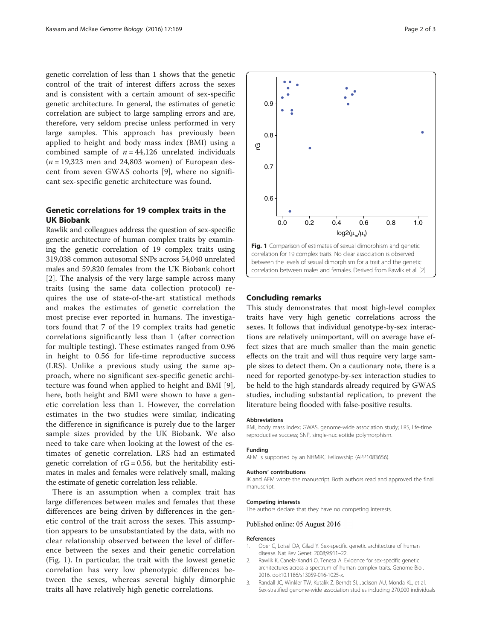<span id="page-1-0"></span>genetic correlation of less than 1 shows that the genetic control of the trait of interest differs across the sexes and is consistent with a certain amount of sex-specific genetic architecture. In general, the estimates of genetic correlation are subject to large sampling errors and are, therefore, very seldom precise unless performed in very large samples. This approach has previously been applied to height and body mass index (BMI) using a combined sample of  $n = 44,126$  unrelated individuals  $(n = 19,323$  men and 24,803 women) of European descent from seven GWAS cohorts [[9\]](#page-2-0), where no significant sex-specific genetic architecture was found.

# Genetic correlations for 19 complex traits in the UK Biobank

Rawlik and colleagues address the question of sex-specific genetic architecture of human complex traits by examining the genetic correlation of 19 complex traits using 319,038 common autosomal SNPs across 54,040 unrelated males and 59,820 females from the UK Biobank cohort [2]. The analysis of the very large sample across many traits (using the same data collection protocol) requires the use of state-of-the-art statistical methods and makes the estimates of genetic correlation the most precise ever reported in humans. The investigators found that 7 of the 19 complex traits had genetic correlations significantly less than 1 (after correction for multiple testing). These estimates ranged from 0.96 in height to 0.56 for life-time reproductive success (LRS). Unlike a previous study using the same approach, where no significant sex-specific genetic architecture was found when applied to height and BMI [[9](#page-2-0)], here, both height and BMI were shown to have a genetic correlation less than 1. However, the correlation estimates in the two studies were similar, indicating the difference in significance is purely due to the larger sample sizes provided by the UK Biobank. We also need to take care when looking at the lowest of the estimates of genetic correlation. LRS had an estimated genetic correlation of  $rG = 0.56$ , but the heritability estimates in males and females were relatively small, making the estimate of genetic correlation less reliable.

There is an assumption when a complex trait has large differences between males and females that these differences are being driven by differences in the genetic control of the trait across the sexes. This assumption appears to be unsubstantiated by the data, with no clear relationship observed between the level of difference between the sexes and their genetic correlation (Fig. 1). In particular, the trait with the lowest genetic correlation has very low phenotypic differences between the sexes, whereas several highly dimorphic traits all have relatively high genetic correlations.



#### Concluding remarks

This study demonstrates that most high-level complex traits have very high genetic correlations across the sexes. It follows that individual genotype-by-sex interactions are relatively unimportant, will on average have effect sizes that are much smaller than the main genetic effects on the trait and will thus require very large sample sizes to detect them. On a cautionary note, there is a need for reported genotype-by-sex interaction studies to be held to the high standards already required by GWAS studies, including substantial replication, to prevent the literature being flooded with false-positive results.

#### Abbreviations

BMI, body mass index; GWAS, genome-wide association study; LRS, life-time reproductive success; SNP, single-nucleotide polymorphism.

#### Funding

AFM is supported by an NHMRC Fellowship (APP1083656).

#### Authors' contributions

IK and AFM wrote the manuscript. Both authors read and approved the final manuscript.

#### Competing interests

The authors declare that they have no competing interests.

#### Published online: 05 August 2016

#### References

- 1. Ober C, Loisel DA, Gilad Y. Sex-specific genetic architecture of human disease. Nat Rev Genet. 2008;9:911–22.
- Rawlik K, Canela-Xandri O, Tenesa A. Evidence for sex-specific genetic architectures across a spectrum of human complex traits. Genome Biol. 2016. doi[:10.1186/s13059-016-1025-x.](http://dx.doi.org/10.1186/s13059-016-1025-x)
- 3. Randall JC, Winkler TW, Kutalik Z, Berndt SI, Jackson AU, Monda KL, et al. Sex-stratified genome-wide association studies including 270,000 individuals